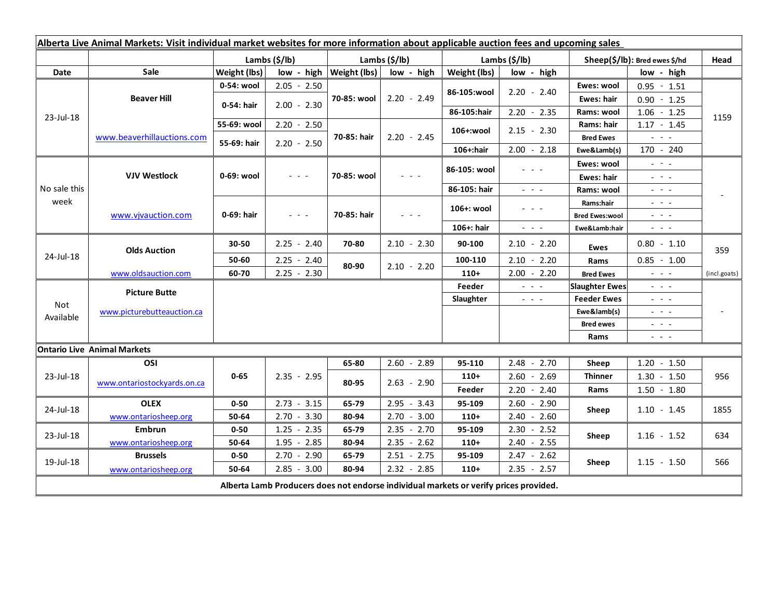| Alberta Live Animal Markets: Visit individual market websites for more information about applicable auction fees and upcoming sales |                             |                           |                                                                                                                           |               |                              |               |                           |                                                           |                               |                                                                                                                                                                                                                                                                                                                                                                                                                                                |              |
|-------------------------------------------------------------------------------------------------------------------------------------|-----------------------------|---------------------------|---------------------------------------------------------------------------------------------------------------------------|---------------|------------------------------|---------------|---------------------------|-----------------------------------------------------------|-------------------------------|------------------------------------------------------------------------------------------------------------------------------------------------------------------------------------------------------------------------------------------------------------------------------------------------------------------------------------------------------------------------------------------------------------------------------------------------|--------------|
|                                                                                                                                     |                             | Lambs $(\frac{2}{3})$ lb) |                                                                                                                           |               | Lambs (\$/lb)                |               | Lambs $(\frac{2}{3})$ lb) |                                                           | Sheep(\$/lb): Bred ewes \$/hd |                                                                                                                                                                                                                                                                                                                                                                                                                                                | Head         |
| Date                                                                                                                                | Sale                        | Weight (lbs)              |                                                                                                                           |               | $low - high   Weight (lbs) $ | low - high    | Weight (lbs)              | low - high                                                |                               | low - high                                                                                                                                                                                                                                                                                                                                                                                                                                     |              |
| 23-Jul-18                                                                                                                           | <b>Beaver Hill</b>          | 0-54: wool                | $2.05 - 2.50$                                                                                                             |               | 70-85: wool                  | $2.20 - 2.49$ | 86-105:wool               | $2.20 - 2.40$                                             | Ewes: wool                    | $0.95 - 1.51$                                                                                                                                                                                                                                                                                                                                                                                                                                  |              |
|                                                                                                                                     |                             | 0-54: hair                |                                                                                                                           | $2.00 - 2.30$ |                              |               |                           |                                                           | Ewes: hair                    | $0.90 - 1.25$                                                                                                                                                                                                                                                                                                                                                                                                                                  |              |
|                                                                                                                                     |                             |                           |                                                                                                                           |               |                              |               | 86-105:hair               | $2.20 - 2.35$                                             | Rams: wool                    | $1.06 - 1.25$                                                                                                                                                                                                                                                                                                                                                                                                                                  | 1159         |
|                                                                                                                                     | www.beaverhillauctions.com  | 55-69: wool               | $2.20 - 2.50$                                                                                                             |               | 70-85: hair                  | $2.20 - 2.45$ | 106+:wool                 | $2.15 - 2.30$                                             | Rams: hair                    | $1.17 - 1.45$                                                                                                                                                                                                                                                                                                                                                                                                                                  |              |
|                                                                                                                                     |                             | 55-69: hair               |                                                                                                                           | $2.20 - 2.50$ |                              |               |                           |                                                           | <b>Bred Ewes</b>              | $\omega_{\rm{eff}}$ and $\omega_{\rm{eff}}$                                                                                                                                                                                                                                                                                                                                                                                                    |              |
|                                                                                                                                     |                             |                           |                                                                                                                           |               |                              |               | 106+:hair                 | $2.00 - 2.18$                                             | Ewe&Lamb(s)                   | 170 - 240                                                                                                                                                                                                                                                                                                                                                                                                                                      |              |
| No sale this<br>week                                                                                                                | <b>VJV Westlock</b>         | 0-69: wool                |                                                                                                                           |               |                              |               | 86-105: wool              | - - -                                                     | Ewes: wool                    | $\mathbb{L}^2 \times \mathbb{L}^2$                                                                                                                                                                                                                                                                                                                                                                                                             |              |
|                                                                                                                                     |                             |                           | $\sim$ $\sim$ $\sim$                                                                                                      |               | 70-85: wool                  | $ -$          |                           |                                                           | Ewes: hair                    | $\mathbb{L}^2 \times \mathbb{R}^2 \to \mathbb{R}$                                                                                                                                                                                                                                                                                                                                                                                              |              |
|                                                                                                                                     |                             |                           |                                                                                                                           |               |                              |               | 86-105: hair              | $\omega_{\rm{eff}}$ and $\omega_{\rm{eff}}$               | Rams: wool                    | $\frac{1}{2} \left( \frac{1}{2} \right) \frac{1}{2} \left( \frac{1}{2} \right) \frac{1}{2} \left( \frac{1}{2} \right) \frac{1}{2} \left( \frac{1}{2} \right) \frac{1}{2} \left( \frac{1}{2} \right) \frac{1}{2} \left( \frac{1}{2} \right) \frac{1}{2} \left( \frac{1}{2} \right) \frac{1}{2} \left( \frac{1}{2} \right) \frac{1}{2} \left( \frac{1}{2} \right) \frac{1}{2} \left( \frac{1}{2} \right) \frac{1}{2} \left( \frac{1}{2} \right)$ |              |
|                                                                                                                                     | www.vjvauction.com          | 0-69: hair                | $\frac{1}{2} \left( \frac{1}{2} \right) \left( \frac{1}{2} \right) \left( \frac{1}{2} \right) \left( \frac{1}{2} \right)$ |               | 70-85: hair                  | - - -         | 106+: wool                | $  -$                                                     | Rams:hair                     | $\omega_{\rm{eff}}=0.1$                                                                                                                                                                                                                                                                                                                                                                                                                        |              |
|                                                                                                                                     |                             |                           |                                                                                                                           |               |                              |               |                           |                                                           | <b>Bred Ewes:wool</b>         | $\frac{1}{2} \left( \begin{array}{ccc} 1 & 0 & 0 \\ 0 & 0 & 0 \\ 0 & 0 & 0 \end{array} \right) = 0.$                                                                                                                                                                                                                                                                                                                                           |              |
|                                                                                                                                     |                             |                           |                                                                                                                           |               |                              |               | 106+: hair                | $\omega_{\rm{eff}}$ and $\omega_{\rm{eff}}$               | Ewe&Lamb:hair                 | $\sim$ 100 $\sim$                                                                                                                                                                                                                                                                                                                                                                                                                              |              |
| 24-Jul-18                                                                                                                           | <b>Olds Auction</b>         | 30-50                     | $2.25 - 2.40$                                                                                                             |               | 70-80                        | $2.10 - 2.30$ | 90-100                    | $2.10 - 2.20$                                             | <b>Ewes</b>                   | $0.80 - 1.10$                                                                                                                                                                                                                                                                                                                                                                                                                                  | 359          |
|                                                                                                                                     |                             | 50-60                     | $2.25 - 2.40$                                                                                                             |               | 80-90                        | $2.10 - 2.20$ | 100-110                   | $2.10 - 2.20$                                             | Rams                          | $0.85 - 1.00$                                                                                                                                                                                                                                                                                                                                                                                                                                  |              |
|                                                                                                                                     | www.oldsauction.com         | 60-70                     | $2.25 - 2.30$                                                                                                             |               |                              |               | $110+$                    | $2.00 - 2.20$                                             | <b>Bred Ewes</b>              | $ -$                                                                                                                                                                                                                                                                                                                                                                                                                                           | (incl.goats) |
| Not<br>Available                                                                                                                    | <b>Picture Butte</b>        |                           |                                                                                                                           |               |                              |               | Feeder                    | $  -$                                                     | <b>Slaughter Ewes</b>         | $\frac{1}{2} \left( \frac{1}{2} \right) \left( \frac{1}{2} \right) \left( \frac{1}{2} \right) \left( \frac{1}{2} \right)$                                                                                                                                                                                                                                                                                                                      |              |
|                                                                                                                                     |                             |                           |                                                                                                                           |               |                              |               | Slaughter                 | $\omega_{\rm{c}}$ , $\omega_{\rm{c}}$ , $\omega_{\rm{c}}$ | <b>Feeder Ewes</b>            | $\frac{1}{2} \left( \frac{1}{2} \right) \frac{1}{2} \left( \frac{1}{2} \right) \frac{1}{2} \left( \frac{1}{2} \right) \frac{1}{2} \left( \frac{1}{2} \right) \frac{1}{2} \left( \frac{1}{2} \right) \frac{1}{2} \left( \frac{1}{2} \right) \frac{1}{2} \left( \frac{1}{2} \right) \frac{1}{2} \left( \frac{1}{2} \right) \frac{1}{2} \left( \frac{1}{2} \right) \frac{1}{2} \left( \frac{1}{2} \right) \frac{1}{2} \left( \frac{1}{2} \right)$ |              |
|                                                                                                                                     | www.picturebutteauction.ca  |                           |                                                                                                                           |               |                              |               |                           | Ewe&lamb(s)                                               | $  -$                         |                                                                                                                                                                                                                                                                                                                                                                                                                                                |              |
|                                                                                                                                     |                             |                           |                                                                                                                           |               |                              |               |                           |                                                           | <b>Bred ewes</b>              | $\frac{1}{2} \left( \frac{1}{2} \right) = \frac{1}{2} \left( \frac{1}{2} \right) = \frac{1}{2}$                                                                                                                                                                                                                                                                                                                                                |              |
|                                                                                                                                     |                             |                           |                                                                                                                           |               |                              |               |                           |                                                           | Rams                          | $\frac{1}{2} \left( \frac{1}{2} \right) = \frac{1}{2} \left( \frac{1}{2} \right)$                                                                                                                                                                                                                                                                                                                                                              |              |
| <b>Ontario Live Animal Markets</b>                                                                                                  |                             |                           |                                                                                                                           |               |                              |               |                           |                                                           |                               |                                                                                                                                                                                                                                                                                                                                                                                                                                                |              |
| 23-Jul-18                                                                                                                           | OSI                         | $0 - 65$                  |                                                                                                                           |               | 65-80                        | $2.60 - 2.89$ | 95-110                    | $2.48 - 2.70$                                             | Sheep                         | $1.20 - 1.50$                                                                                                                                                                                                                                                                                                                                                                                                                                  | 956          |
|                                                                                                                                     | www.ontariostockyards.on.ca |                           | $2.35 - 2.95$                                                                                                             |               | 80-95                        | $2.63 - 2.90$ | $110+$                    | $2.60 - 2.69$                                             | <b>Thinner</b>                | $1.30 - 1.50$                                                                                                                                                                                                                                                                                                                                                                                                                                  |              |
|                                                                                                                                     |                             |                           |                                                                                                                           |               |                              |               | Feeder                    | $2.20 - 2.40$                                             | Rams                          | $1.50 - 1.80$                                                                                                                                                                                                                                                                                                                                                                                                                                  |              |
| 24-Jul-18                                                                                                                           | <b>OLEX</b>                 | $0 - 50$                  | $2.73 - 3.15$                                                                                                             |               | 65-79                        | $2.95 - 3.43$ | 95-109                    | $2.60 - 2.90$                                             | Sheep                         | $1.10 - 1.45$                                                                                                                                                                                                                                                                                                                                                                                                                                  | 1855         |
|                                                                                                                                     | www.ontariosheep.org        | 50-64                     | $2.70 - 3.30$                                                                                                             |               | 80-94                        | $2.70 - 3.00$ | $110+$                    | $2.40 - 2.60$                                             |                               |                                                                                                                                                                                                                                                                                                                                                                                                                                                |              |
| 23-Jul-18                                                                                                                           | <b>Embrun</b>               | $0 - 50$                  | $1.25 - 2.35$                                                                                                             |               | 65-79                        | $2.35 - 2.70$ | 95-109                    | $2.30 - 2.52$                                             | Sheep                         | $1.16 - 1.52$                                                                                                                                                                                                                                                                                                                                                                                                                                  | 634          |
|                                                                                                                                     | www.ontariosheep.org        | 50-64                     | $1.95 - 2.85$                                                                                                             |               | 80-94                        | $2.35 - 2.62$ | $110+$                    | $2.40 - 2.55$                                             |                               |                                                                                                                                                                                                                                                                                                                                                                                                                                                |              |
| 19-Jul-18                                                                                                                           | <b>Brussels</b>             | $0 - 50$                  | $2.70 - 2.90$                                                                                                             |               | 65-79                        | $2.51 - 2.75$ | 95-109                    | $2.47 - 2.62$                                             | Sheep                         | $1.15 - 1.50$                                                                                                                                                                                                                                                                                                                                                                                                                                  | 566          |
|                                                                                                                                     | www.ontariosheep.org        | 50-64                     | $2.85 - 3.00$                                                                                                             |               | 80-94                        | $2.32 - 2.85$ | $110+$                    | $2.35 - 2.57$                                             |                               |                                                                                                                                                                                                                                                                                                                                                                                                                                                |              |
| Alberta Lamb Producers does not endorse individual markets or verify prices provided.                                               |                             |                           |                                                                                                                           |               |                              |               |                           |                                                           |                               |                                                                                                                                                                                                                                                                                                                                                                                                                                                |              |